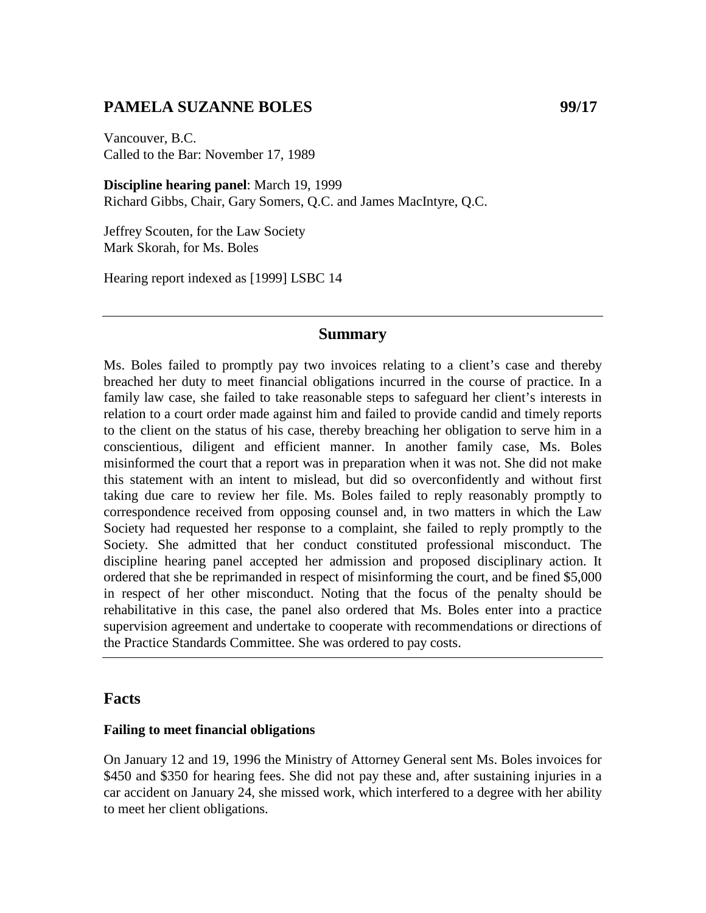# **PAMELA SUZANNE BOLES 99/17**

Vancouver, B.C. Called to the Bar: November 17, 1989

**Discipline hearing panel**: March 19, 1999 Richard Gibbs, Chair, Gary Somers, Q.C. and James MacIntyre, Q.C.

Jeffrey Scouten, for the Law Society Mark Skorah, for Ms. Boles

Hearing report indexed as [1999] LSBC 14

#### **Summary**

Ms. Boles failed to promptly pay two invoices relating to a client's case and thereby breached her duty to meet financial obligations incurred in the course of practice. In a family law case, she failed to take reasonable steps to safeguard her client's interests in relation to a court order made against him and failed to provide candid and timely reports to the client on the status of his case, thereby breaching her obligation to serve him in a conscientious, diligent and efficient manner. In another family case, Ms. Boles misinformed the court that a report was in preparation when it was not. She did not make this statement with an intent to mislead, but did so overconfidently and without first taking due care to review her file. Ms. Boles failed to reply reasonably promptly to correspondence received from opposing counsel and, in two matters in which the Law Society had requested her response to a complaint, she failed to reply promptly to the Society. She admitted that her conduct constituted professional misconduct. The discipline hearing panel accepted her admission and proposed disciplinary action. It ordered that she be reprimanded in respect of misinforming the court, and be fined \$5,000 in respect of her other misconduct. Noting that the focus of the penalty should be rehabilitative in this case, the panel also ordered that Ms. Boles enter into a practice supervision agreement and undertake to cooperate with recommendations or directions of the Practice Standards Committee. She was ordered to pay costs.

#### **Facts**

#### **Failing to meet financial obligations**

On January 12 and 19, 1996 the Ministry of Attorney General sent Ms. Boles invoices for \$450 and \$350 for hearing fees. She did not pay these and, after sustaining injuries in a car accident on January 24, she missed work, which interfered to a degree with her ability to meet her client obligations.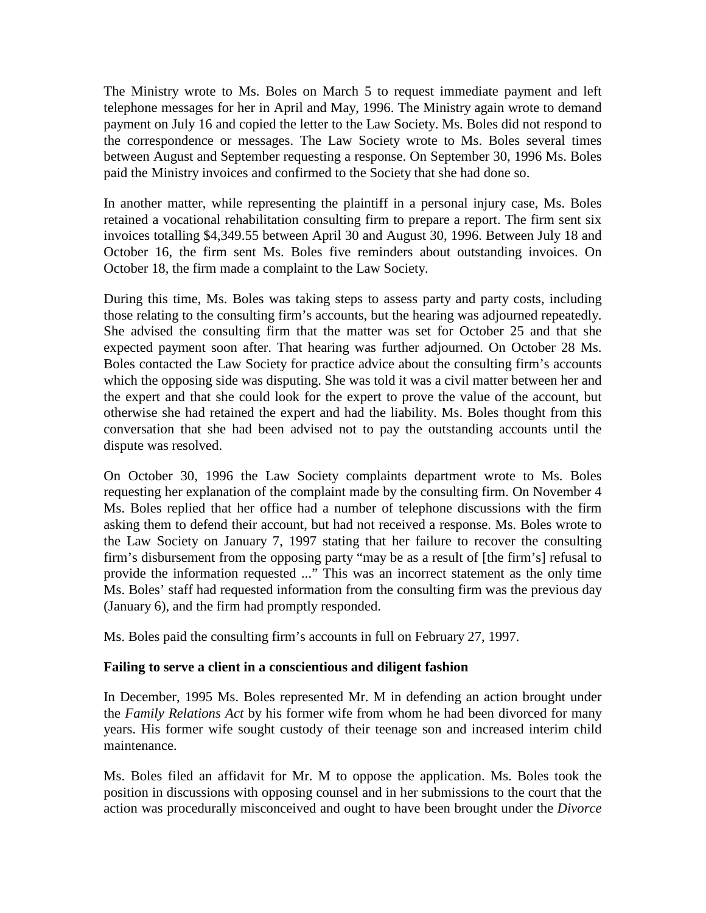The Ministry wrote to Ms. Boles on March 5 to request immediate payment and left telephone messages for her in April and May, 1996. The Ministry again wrote to demand payment on July 16 and copied the letter to the Law Society. Ms. Boles did not respond to the correspondence or messages. The Law Society wrote to Ms. Boles several times between August and September requesting a response. On September 30, 1996 Ms. Boles paid the Ministry invoices and confirmed to the Society that she had done so.

In another matter, while representing the plaintiff in a personal injury case, Ms. Boles retained a vocational rehabilitation consulting firm to prepare a report. The firm sent six invoices totalling \$4,349.55 between April 30 and August 30, 1996. Between July 18 and October 16, the firm sent Ms. Boles five reminders about outstanding invoices. On October 18, the firm made a complaint to the Law Society.

During this time, Ms. Boles was taking steps to assess party and party costs, including those relating to the consulting firm's accounts, but the hearing was adjourned repeatedly. She advised the consulting firm that the matter was set for October 25 and that she expected payment soon after. That hearing was further adjourned. On October 28 Ms. Boles contacted the Law Society for practice advice about the consulting firm's accounts which the opposing side was disputing. She was told it was a civil matter between her and the expert and that she could look for the expert to prove the value of the account, but otherwise she had retained the expert and had the liability. Ms. Boles thought from this conversation that she had been advised not to pay the outstanding accounts until the dispute was resolved.

On October 30, 1996 the Law Society complaints department wrote to Ms. Boles requesting her explanation of the complaint made by the consulting firm. On November 4 Ms. Boles replied that her office had a number of telephone discussions with the firm asking them to defend their account, but had not received a response. Ms. Boles wrote to the Law Society on January 7, 1997 stating that her failure to recover the consulting firm's disbursement from the opposing party "may be as a result of [the firm's] refusal to provide the information requested ..." This was an incorrect statement as the only time Ms. Boles' staff had requested information from the consulting firm was the previous day (January 6), and the firm had promptly responded.

Ms. Boles paid the consulting firm's accounts in full on February 27, 1997.

### **Failing to serve a client in a conscientious and diligent fashion**

In December, 1995 Ms. Boles represented Mr. M in defending an action brought under the *Family Relations Act* by his former wife from whom he had been divorced for many years. His former wife sought custody of their teenage son and increased interim child maintenance.

Ms. Boles filed an affidavit for Mr. M to oppose the application. Ms. Boles took the position in discussions with opposing counsel and in her submissions to the court that the action was procedurally misconceived and ought to have been brought under the *Divorce*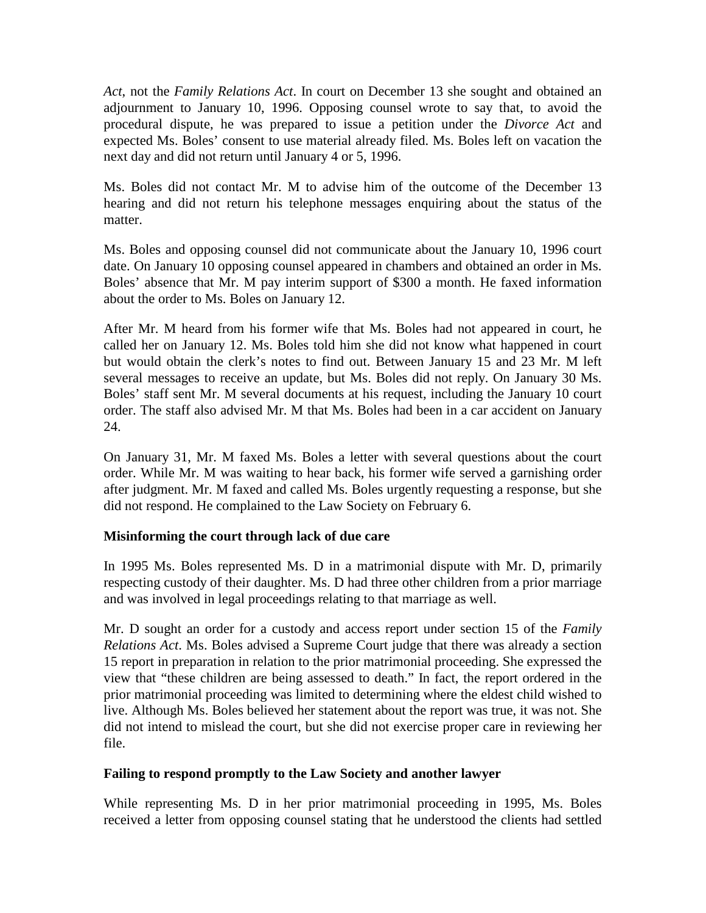*Act*, not the *Family Relations Act*. In court on December 13 she sought and obtained an adjournment to January 10, 1996. Opposing counsel wrote to say that, to avoid the procedural dispute, he was prepared to issue a petition under the *Divorce Act* and expected Ms. Boles' consent to use material already filed. Ms. Boles left on vacation the next day and did not return until January 4 or 5, 1996.

Ms. Boles did not contact Mr. M to advise him of the outcome of the December 13 hearing and did not return his telephone messages enquiring about the status of the matter.

Ms. Boles and opposing counsel did not communicate about the January 10, 1996 court date. On January 10 opposing counsel appeared in chambers and obtained an order in Ms. Boles' absence that Mr. M pay interim support of \$300 a month. He faxed information about the order to Ms. Boles on January 12.

After Mr. M heard from his former wife that Ms. Boles had not appeared in court, he called her on January 12. Ms. Boles told him she did not know what happened in court but would obtain the clerk's notes to find out. Between January 15 and 23 Mr. M left several messages to receive an update, but Ms. Boles did not reply. On January 30 Ms. Boles' staff sent Mr. M several documents at his request, including the January 10 court order. The staff also advised Mr. M that Ms. Boles had been in a car accident on January 24.

On January 31, Mr. M faxed Ms. Boles a letter with several questions about the court order. While Mr. M was waiting to hear back, his former wife served a garnishing order after judgment. Mr. M faxed and called Ms. Boles urgently requesting a response, but she did not respond. He complained to the Law Society on February 6.

### **Misinforming the court through lack of due care**

In 1995 Ms. Boles represented Ms. D in a matrimonial dispute with Mr. D, primarily respecting custody of their daughter. Ms. D had three other children from a prior marriage and was involved in legal proceedings relating to that marriage as well.

Mr. D sought an order for a custody and access report under section 15 of the *Family Relations Act*. Ms. Boles advised a Supreme Court judge that there was already a section 15 report in preparation in relation to the prior matrimonial proceeding. She expressed the view that "these children are being assessed to death." In fact, the report ordered in the prior matrimonial proceeding was limited to determining where the eldest child wished to live. Although Ms. Boles believed her statement about the report was true, it was not. She did not intend to mislead the court, but she did not exercise proper care in reviewing her file.

### **Failing to respond promptly to the Law Society and another lawyer**

While representing Ms. D in her prior matrimonial proceeding in 1995, Ms. Boles received a letter from opposing counsel stating that he understood the clients had settled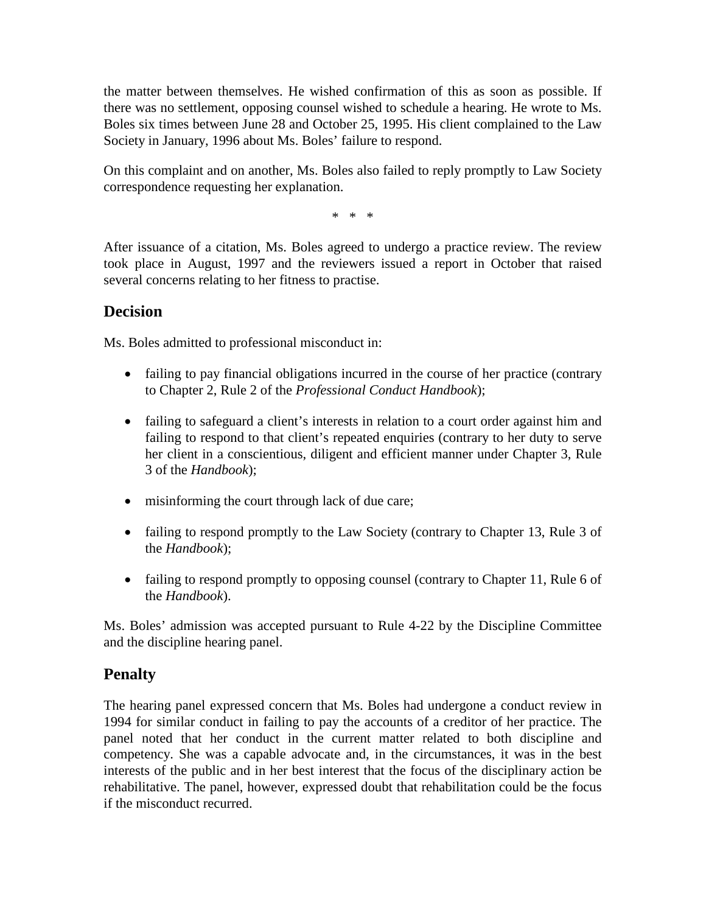the matter between themselves. He wished confirmation of this as soon as possible. If there was no settlement, opposing counsel wished to schedule a hearing. He wrote to Ms. Boles six times between June 28 and October 25, 1995. His client complained to the Law Society in January, 1996 about Ms. Boles' failure to respond.

On this complaint and on another, Ms. Boles also failed to reply promptly to Law Society correspondence requesting her explanation.

\* \* \*

After issuance of a citation, Ms. Boles agreed to undergo a practice review. The review took place in August, 1997 and the reviewers issued a report in October that raised several concerns relating to her fitness to practise.

# **Decision**

Ms. Boles admitted to professional misconduct in:

- failing to pay financial obligations incurred in the course of her practice (contrary to Chapter 2, Rule 2 of the *Professional Conduct Handbook*);
- failing to safeguard a client's interests in relation to a court order against him and failing to respond to that client's repeated enquiries (contrary to her duty to serve her client in a conscientious, diligent and efficient manner under Chapter 3, Rule 3 of the *Handbook*);
- misinforming the court through lack of due care;
- failing to respond promptly to the Law Society (contrary to Chapter 13, Rule 3 of the *Handbook*);
- failing to respond promptly to opposing counsel (contrary to Chapter 11, Rule 6 of the *Handbook*).

Ms. Boles' admission was accepted pursuant to Rule 4-22 by the Discipline Committee and the discipline hearing panel.

# **Penalty**

The hearing panel expressed concern that Ms. Boles had undergone a conduct review in 1994 for similar conduct in failing to pay the accounts of a creditor of her practice. The panel noted that her conduct in the current matter related to both discipline and competency. She was a capable advocate and, in the circumstances, it was in the best interests of the public and in her best interest that the focus of the disciplinary action be rehabilitative. The panel, however, expressed doubt that rehabilitation could be the focus if the misconduct recurred.